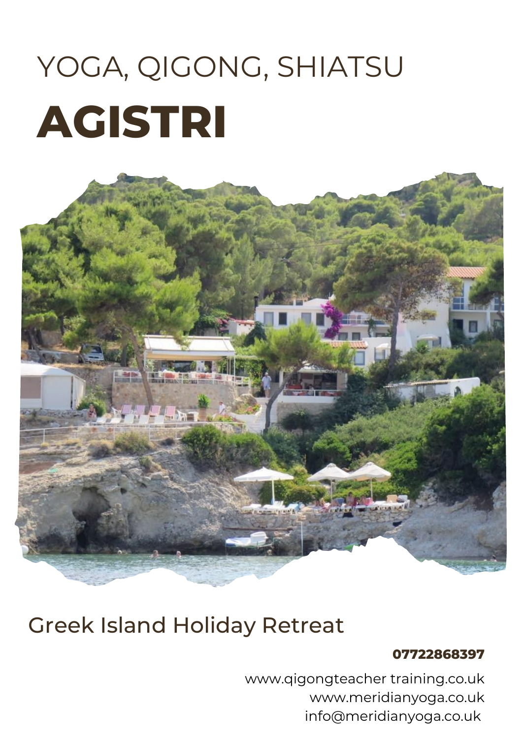# **AGISTRI** YOGA, QIGONG, SHIATSU



## Greek Island Holiday Retreat

#### **07722868397**

www.qigongteacher training.co.uk www.meridianyoga.co.uk info@meridianyoga.co.uk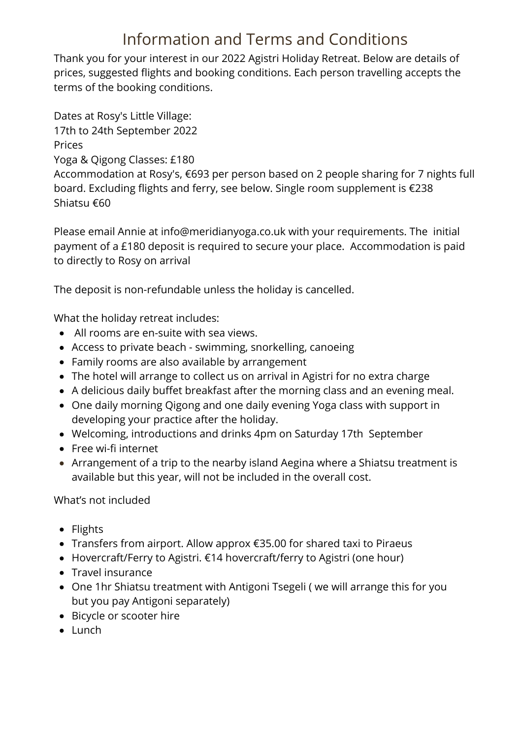### Information and Terms and Conditions

Thank you for your interest in our 2022 Agistri Holiday Retreat. Below are details of prices, suggested flights and booking conditions. Each person travelling accepts the terms of the booking conditions.

Dates at Rosy's Little Village: 17th to 24th September 2022 Prices Yoga & Qigong Classes: £180 Accommodation at Rosy's, €693 per person based on 2 people sharing for 7 nights full

board. Excluding flights and ferry, see below. Single room supplement is €238 Shiatsu €60

Please email Annie at info@meridianyoga.co.uk with your requirements. The initial payment of a £180 deposit is required to secure your place. Accommodation is paid to directly to Rosy on arrival

The deposit is non-refundable unless the holiday is cancelled.

What the holiday retreat includes:

- All rooms are en-suite with sea views.
- Access to private beach swimming, snorkelling, canoeing
- Family rooms are also available by arrangement
- The hotel will arrange to collect us on arrival in Agistri for no extra charge
- A delicious daily buffet breakfast after the morning class and an evening meal.
- One daily morning Qigong and one daily evening Yoga class with support in developing your practice after the holiday.
- Welcoming, introductions and drinks 4pm on Saturday 17th September
- Free wi-fi internet
- Arrangement of a trip to the nearby island Aegina where a Shiatsu treatment is available but this year, will not be included in the overall cost.

What's not included

- Flights
- Transfers from airport. Allow approx €35.00 for shared taxi to Piraeus
- Hovercraft/Ferry to Agistri. €14 hovercraft/ferry to Agistri (one hour)
- Travel insurance
- One 1hr Shiatsu treatment with Antigoni Tsegeli ( we will arrange this for you but you pay Antigoni separately)
- Bicycle or scooter hire
- Lunch